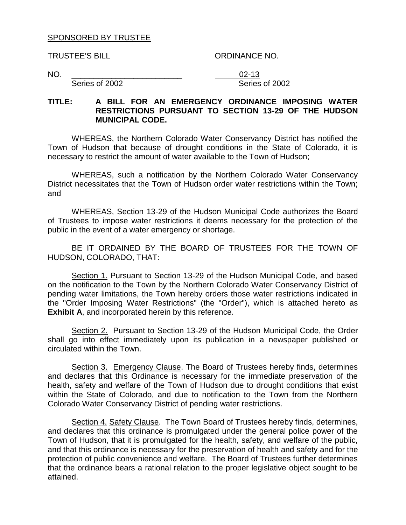#### SPONSORED BY TRUSTEE

TRUSTEE'S BILL ORDINANCE NO.

NO. \_\_\_\_\_\_\_\_\_\_\_\_\_\_\_\_\_\_\_\_\_\_\_\_\_ 02-13 Series of 2002 Series of 2002

#### **TITLE: A BILL FOR AN EMERGENCY ORDINANCE IMPOSING WATER RESTRICTIONS PURSUANT TO SECTION 13-29 OF THE HUDSON MUNICIPAL CODE.**

WHEREAS, the Northern Colorado Water Conservancy District has notified the Town of Hudson that because of drought conditions in the State of Colorado, it is necessary to restrict the amount of water available to the Town of Hudson;

WHEREAS, such a notification by the Northern Colorado Water Conservancy District necessitates that the Town of Hudson order water restrictions within the Town; and

WHEREAS, Section 13-29 of the Hudson Municipal Code authorizes the Board of Trustees to impose water restrictions it deems necessary for the protection of the public in the event of a water emergency or shortage.

BE IT ORDAINED BY THE BOARD OF TRUSTEES FOR THE TOWN OF HUDSON, COLORADO, THAT:

Section 1. Pursuant to Section 13-29 of the Hudson Municipal Code, and based on the notification to the Town by the Northern Colorado Water Conservancy District of pending water limitations, the Town hereby orders those water restrictions indicated in the "Order Imposing Water Restrictions" (the "Order"), which is attached hereto as **Exhibit A**, and incorporated herein by this reference.

Section 2. Pursuant to Section 13-29 of the Hudson Municipal Code, the Order shall go into effect immediately upon its publication in a newspaper published or circulated within the Town.

Section 3. Emergency Clause. The Board of Trustees hereby finds, determines and declares that this Ordinance is necessary for the immediate preservation of the health, safety and welfare of the Town of Hudson due to drought conditions that exist within the State of Colorado, and due to notification to the Town from the Northern Colorado Water Conservancy District of pending water restrictions.

Section 4. Safety Clause. The Town Board of Trustees hereby finds, determines, and declares that this ordinance is promulgated under the general police power of the Town of Hudson, that it is promulgated for the health, safety, and welfare of the public, and that this ordinance is necessary for the preservation of health and safety and for the protection of public convenience and welfare. The Board of Trustees further determines that the ordinance bears a rational relation to the proper legislative object sought to be attained.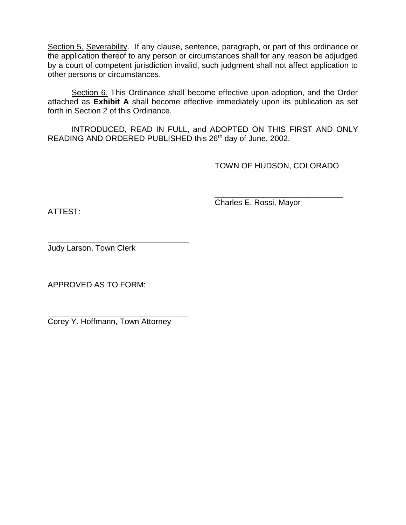Section 5. Severability. If any clause, sentence, paragraph, or part of this ordinance or the application thereof to any person or circumstances shall for any reason be adjudged by a court of competent jurisdiction invalid, such judgment shall not affect application to other persons or circumstances.

Section 6. This Ordinance shall become effective upon adoption, and the Order attached as **Exhibit A** shall become effective immediately upon its publication as set forth in Section 2 of this Ordinance.

INTRODUCED, READ IN FULL, and ADOPTED ON THIS FIRST AND ONLY READING AND ORDERED PUBLISHED this 26<sup>th</sup> day of June, 2002.

TOWN OF HUDSON, COLORADO

\_\_\_\_\_\_\_\_\_\_\_\_\_\_\_\_\_\_\_\_\_\_\_\_\_\_\_\_\_

ATTEST:

Charles E. Rossi, Mayor

\_\_\_\_\_\_\_\_\_\_\_\_\_\_\_\_\_\_\_\_\_\_\_\_\_\_\_\_\_\_\_\_ Judy Larson, Town Clerk

APPROVED AS TO FORM:

\_\_\_\_\_\_\_\_\_\_\_\_\_\_\_\_\_\_\_\_\_\_\_\_\_\_\_\_\_\_\_\_ Corey Y. Hoffmann, Town Attorney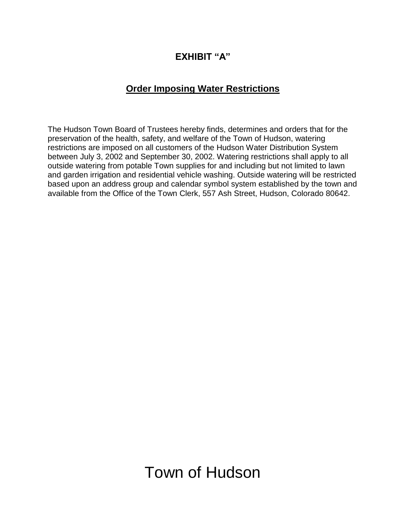### **EXHIBIT "A"**

### **Order Imposing Water Restrictions**

The Hudson Town Board of Trustees hereby finds, determines and orders that for the preservation of the health, safety, and welfare of the Town of Hudson, watering restrictions are imposed on all customers of the Hudson Water Distribution System between July 3, 2002 and September 30, 2002. Watering restrictions shall apply to all outside watering from potable Town supplies for and including but not limited to lawn and garden irrigation and residential vehicle washing. Outside watering will be restricted based upon an address group and calendar symbol system established by the town and available from the Office of the Town Clerk, 557 Ash Street, Hudson, Colorado 80642.

Town of Hudson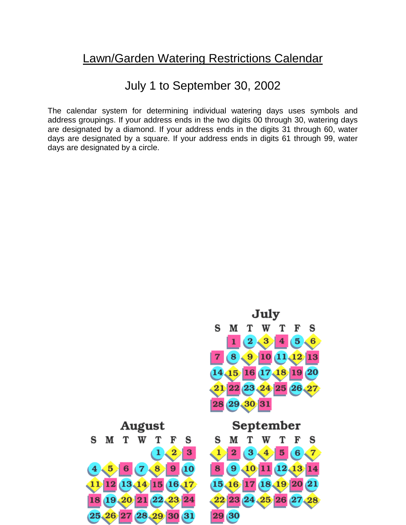# Lawn/Garden Watering Restrictions Calendar

## July 1 to September 30, 2002

The calendar system for determining individual watering days uses symbols and address groupings. If your address ends in the two digits 00 through 30, watering days are designated by a diamond. If your address ends in the digits 31 through 60, water days are designated by a square. If your address ends in digits 61 through 99, water days are designated by a circle.